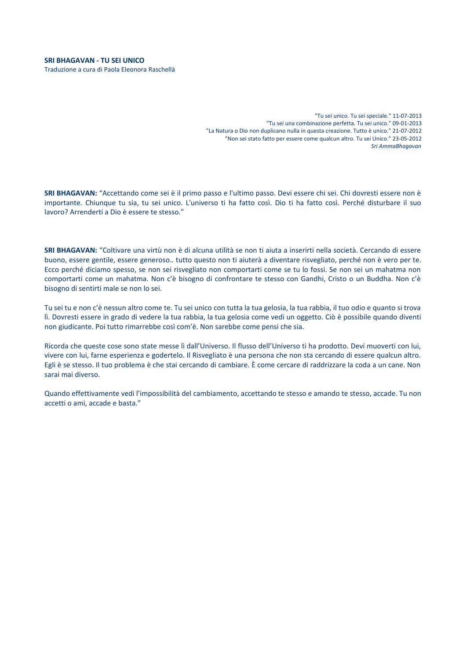"Tu sei unico. Tu sei speciale." 11-07-2013 "Tu sei una combinazione perfetta. Tu sei unico." 09-01-2013 "La Natura o Dio non duplicano nulla in questa creazione. Tutto è unico." 21-07-2012 "Non sei stato fatto per essere come qualcun altro. Tu sei Unico." 23-05-2012 *Sri AmmaBhagavan*

**SRI BHAGAVAN:** "Accettando come sei è il primo passo e l'ultimo passo. Devi essere chi sei. Chi dovresti essere non è importante. Chiunque tu sia, tu sei unico. L'universo ti ha fatto così. Dio ti ha fatto così. Perché disturbare il suo lavoro? Arrenderti a Dio è essere te stesso."

**SRI BHAGAVAN:** "Coltivare una virtù non è di alcuna utilità se non ti aiuta a inserirti nella società. Cercando di essere buono, essere gentile, essere generoso.. tutto questo non ti aiuterà a diventare risvegliato, perché non è vero per te. Ecco perché diciamo spesso, se non sei risvegliato non comportarti come se tu lo fossi. Se non sei un mahatma non comportarti come un mahatma. Non c'è bisogno di confrontare te stesso con Gandhi, Cristo o un Buddha. Non c'è bisogno di sentirti male se non lo sei.

Tu sei tu e non c'è nessun altro come te. Tu sei unico con tutta la tua gelosia, la tua rabbia, il tuo odio e quanto si trova lì. Dovresti essere in grado di vedere la tua rabbia, la tua gelosia come vedi un oggetto. Ciò è possibile quando diventi non giudicante. Poi tutto rimarrebbe così com'è. Non sarebbe come pensi che sia.

Ricorda che queste cose sono state messe lì dall'Universo. Il flusso dell'Universo ti ha prodotto. Devi muoverti con lui, vivere con lui, farne esperienza e godertelo. Il Risvegliato è una persona che non sta cercando di essere qualcun altro. Egli è se stesso. Il tuo problema è che stai cercando di cambiare. È come cercare di raddrizzare la coda a un cane. Non sarai mai diverso.

Quando effettivamente vedi l'impossibilità del cambiamento, accettando te stesso e amando te stesso, accade. Tu non accetti o ami, accade e basta."